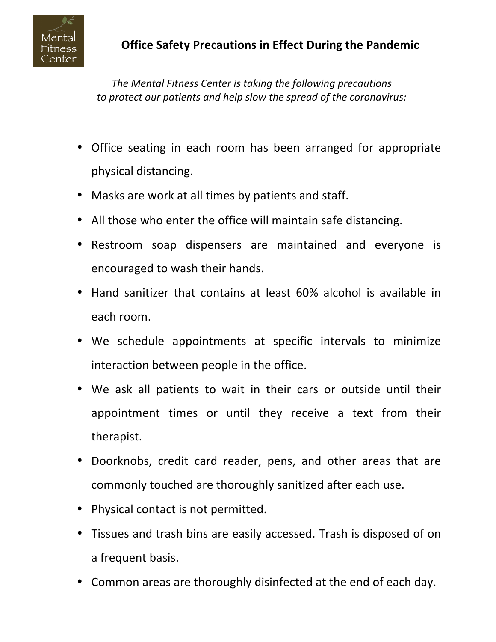

*The Mental Fitness Center is taking the following precautions to protect our patients and help slow the spread of the coronavirus:*

- Office seating in each room has been arranged for appropriate physical distancing.
- Masks are work at all times by patients and staff.
- All those who enter the office will maintain safe distancing.
- Restroom soap dispensers are maintained and everyone is encouraged to wash their hands.
- Hand sanitizer that contains at least 60% alcohol is available in each room.
- We schedule appointments at specific intervals to minimize interaction between people in the office.
- We ask all patients to wait in their cars or outside until their appointment times or until they receive a text from their therapist.
- Doorknobs, credit card reader, pens, and other areas that are commonly touched are thoroughly sanitized after each use.
- Physical contact is not permitted.
- Tissues and trash bins are easily accessed. Trash is disposed of on a frequent basis.
- Common areas are thoroughly disinfected at the end of each day.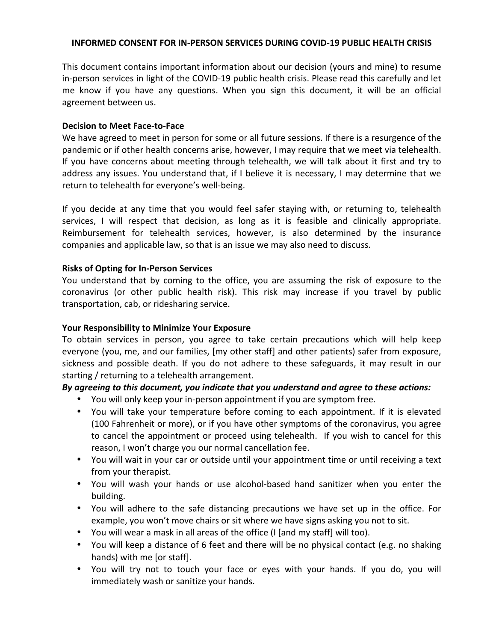#### **INFORMED CONSENT FOR IN-PERSON SERVICES DURING COVID-19 PUBLIC HEALTH CRISIS**

This document contains important information about our decision (yours and mine) to resume in-person services in light of the COVID-19 public health crisis. Please read this carefully and let me know if you have any questions. When you sign this document, it will be an official agreement between us.

#### **Decision to Meet Face-to-Face**

We have agreed to meet in person for some or all future sessions. If there is a resurgence of the pandemic or if other health concerns arise, however, I may require that we meet via telehealth. If you have concerns about meeting through telehealth, we will talk about it first and try to address any issues. You understand that, if I believe it is necessary, I may determine that we return to telehealth for everyone's well-being.

If you decide at any time that you would feel safer staying with, or returning to, telehealth services, I will respect that decision, as long as it is feasible and clinically appropriate. Reimbursement for telehealth services, however, is also determined by the insurance companies and applicable law, so that is an issue we may also need to discuss.

#### **Risks of Opting for In-Person Services**

You understand that by coming to the office, you are assuming the risk of exposure to the coronavirus (or other public health risk). This risk may increase if you travel by public transportation, cab, or ridesharing service.

## **Your Responsibility to Minimize Your Exposure**

To obtain services in person, you agree to take certain precautions which will help keep everyone (you, me, and our families, [my other staff] and other patients) safer from exposure, sickness and possible death. If you do not adhere to these safeguards, it may result in our starting / returning to a telehealth arrangement. 

## *By agreeing to this document, you indicate that you understand and agree to these actions:*

- You will only keep your in-person appointment if you are symptom free.
- You will take your temperature before coming to each appointment. If it is elevated (100 Fahrenheit or more), or if you have other symptoms of the coronavirus, you agree to cancel the appointment or proceed using telehealth. If you wish to cancel for this reason, I won't charge you our normal cancellation fee.
- You will wait in your car or outside until your appointment time or until receiving a text from your therapist.
- You will wash your hands or use alcohol-based hand sanitizer when you enter the building.
- You will adhere to the safe distancing precautions we have set up in the office. For example, you won't move chairs or sit where we have signs asking you not to sit.
- You will wear a mask in all areas of the office (I [and my staff] will too).
- You will keep a distance of 6 feet and there will be no physical contact (e.g. no shaking hands) with me [or staff].
- You will try not to touch your face or eyes with your hands. If you do, you will immediately wash or sanitize your hands.